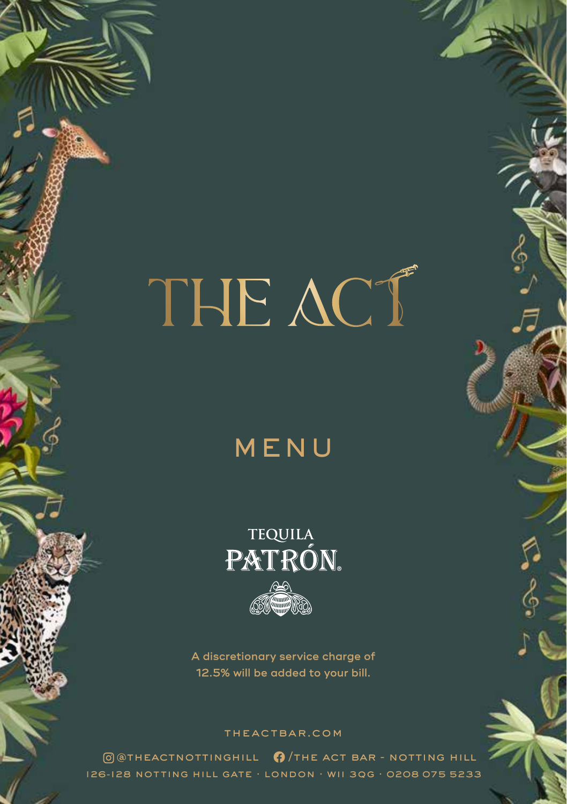## MENU

**TEQUILA** PATRÓN.

A discretionary service charge of 12.5% will be added to your bill.

#### theactbar.com

 $\theta$  atheactnottinghill  $\theta$  /the act bar - notting hill 126 -128 notting hill gate . london . wii 3qg . 0208 075 5233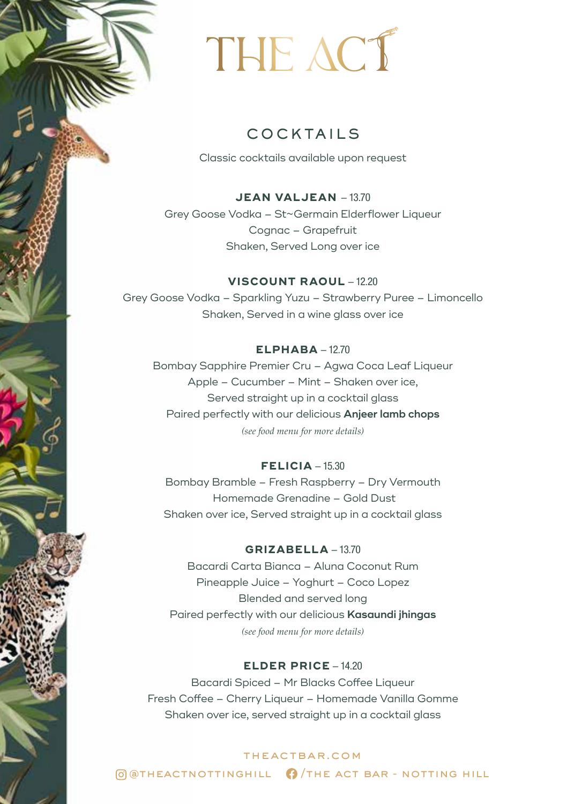### COCKTAILS

Classic cocktails available upon request

**JEAN VALJEAN - 13.70** Grey Goose Vodka – St~Germain Elderflower Liqueur Cognac – Grapefruit Shaken, Served Long over ice

**VISCOUNT RAOUL - 12.20** Grey Goose Vodka – Sparkling Yuzu – Strawberry Puree – Limoncello Shaken, Served in a wine glass over ice

#### $ELPHABA - 12.70$

Bombay Sapphire Premier Cru – Agwa Coca Leaf Liqueur Apple – Cucumber – Mint – Shaken over ice, Served straight up in a cocktail glass Paired perfectly with our delicious **Anjeer lamb chops**  *(see food menu for more details)*

#### **FELICIA** - 15.30

Bombay Bramble – Fresh Raspberry – Dry Vermouth Homemade Grenadine – Gold Dust Shaken over ice, Served straight up in a cocktail glass

#### **GRIZABELLA** - 13.70

Bacardi Carta Bianca – Aluna Coconut Rum Pineapple Juice – Yoghurt – Coco Lopez Blended and served long Paired perfectly with our delicious **Kasaundi jhingas**  *(see food menu for more details)*

#### **ELDER PRICE** - 14.20

Bacardi Spiced – Mr Blacks Coffee Liqueur Fresh Coffee – Cherry Liqueur – Homemade Vanilla Gomme Shaken over ice, served straight up in a cocktail glass

theactbar.com  $\bigcirc$   $\bigcirc$   $\bigcirc$   $\bigcirc$   $\bigcirc$   $\bigcirc$   $\bigcirc$   $\bigcirc$   $\bigcirc$   $\bigcirc$   $\bigcirc$   $\bigcirc$   $\bigcirc$   $\bigcirc$   $\bigcirc$   $\bigcirc$   $\bigcirc$   $\bigcirc$   $\bigcirc$   $\bigcirc$   $\bigcirc$   $\bigcirc$   $\bigcirc$   $\bigcirc$   $\bigcirc$   $\bigcirc$   $\bigcirc$   $\bigcirc$   $\bigcirc$   $\bigcirc$   $\bigcirc$   $\bigcirc$   $\bigcirc$   $\bigcirc$   $\bigcirc$   $\bigcirc$   $\bigcirc$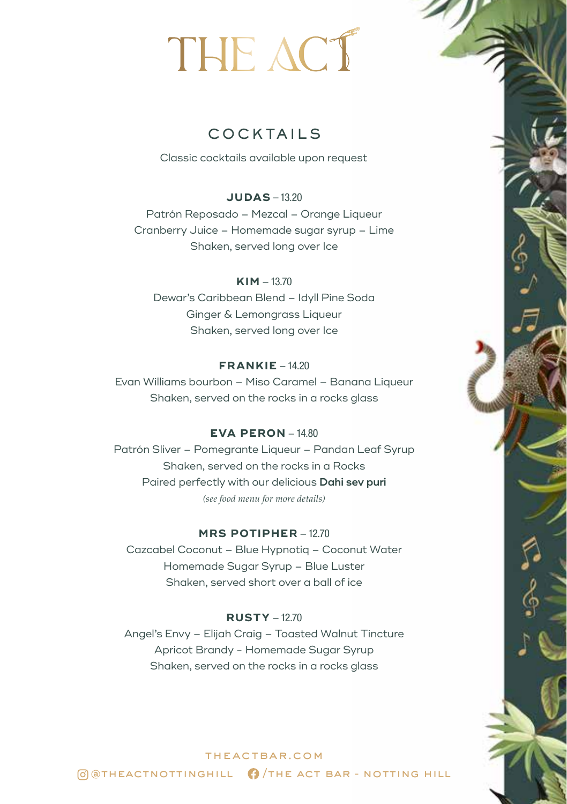## COCKTAILS

Classic cocktails available upon request

#### **JUDAS** – 13.20

Patrón Reposado – Mezcal – Orange Liqueur Cranberry Juice – Homemade sugar syrup – Lime Shaken, served long over Ice

#### $KIM - 13.70$

Dewar's Caribbean Blend – Idyll Pine Soda Ginger & Lemongrass Liqueur Shaken, served long over Ice

#### $FRANKIE - 14.20$

Evan Williams bourbon – Miso Caramel – Banana Liqueur Shaken, served on the rocks in a rocks glass

#### **EVA PERON** - 14.80

Patrón Sliver – Pomegrante Liqueur – Pandan Leaf Syrup Shaken, served on the rocks in a Rocks Paired perfectly with our delicious **Dahi sev puri**  *(see food menu for more details)*

#### **MRS POTIPHER - 12.70**

Cazcabel Coconut – Blue Hypnotiq – Coconut Water Homemade Sugar Syrup – Blue Luster Shaken, served short over a ball of ice

#### **RUSTY** - 12.70

Angel's Envy – Elijah Craig – Toasted Walnut Tincture Apricot Brandy - Homemade Sugar Syrup Shaken, served on the rocks in a rocks glass

### theactbar.com  $\Theta$  @ THEACTNOTTINGHILL  $\Theta$  / THE ACT BAR - NOTTING HILL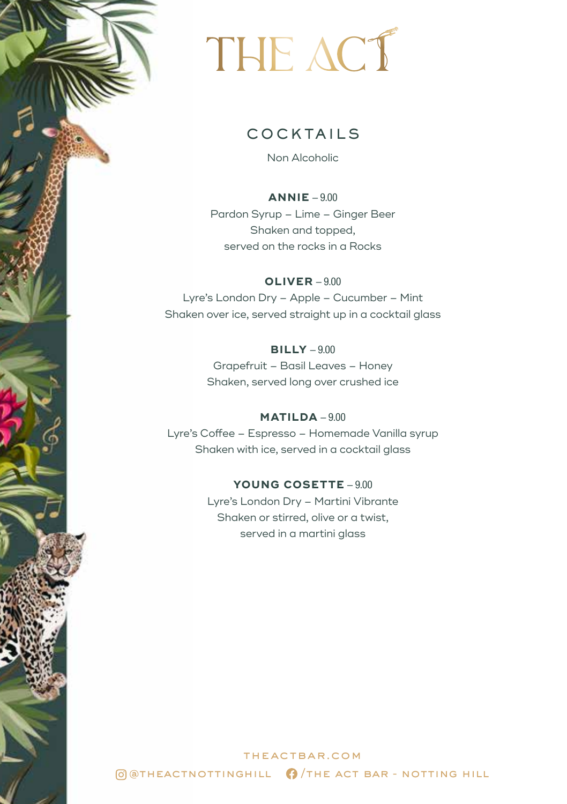### COCKTAILS

Non Alcoholic

**ANNIE** - 9.00 Pardon Syrup – Lime – Ginger Beer Shaken and topped, served on the rocks in a Rocks

**OLIVER** - 9.00 Lyre's London Dry – Apple – Cucumber – Mint Shaken over ice, served straight up in a cocktail glass

> **BILLY** - 9.00 Grapefruit – Basil Leaves – Honey Shaken, served long over crushed ice

**MATILDA** - 9.00 Lyre's Coffee – Espresso – Homemade Vanilla syrup Shaken with ice, served in a cocktail glass

#### YOUNG COSETTE - 9.00

Lyre's London Dry – Martini Vibrante Shaken or stirred, olive or a twist, served in a martini glass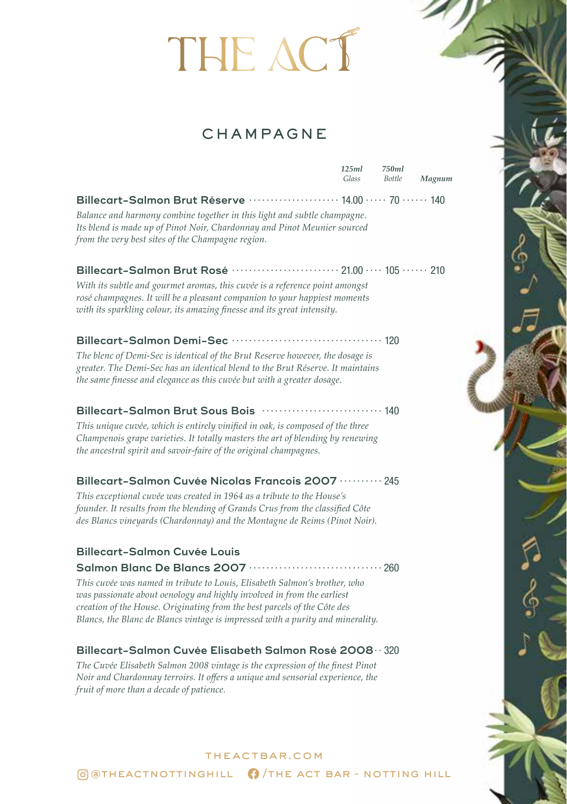## **CHAMPAGNE**

|                                                                                                                                                                                                                                           | 125ml<br>Glass | 750ml<br><b>Bottle</b> | Magnum |
|-------------------------------------------------------------------------------------------------------------------------------------------------------------------------------------------------------------------------------------------|----------------|------------------------|--------|
| Billecart-Salmon Brut Réserve ························· 14.00 ····· 70 ······ 140                                                                                                                                                         |                |                        |        |
| Balance and harmony combine together in this light and subtle champagne.<br>Its blend is made up of Pinot Noir, Chardonnay and Pinot Meunier sourced<br>from the very best sites of the Champagne region.                                 |                |                        |        |
| Billecart-Salmon Brut Rosé …………………… 21.00 … 105 …… 210                                                                                                                                                                                    |                |                        |        |
| With its subtle and gourmet aromas, this cuvée is a reference point amongst<br>rosé champagnes. It will be a pleasant companion to your happiest moments<br>with its sparkling colour, its amazing finesse and its great intensity.       |                |                        |        |
|                                                                                                                                                                                                                                           |                |                        |        |
| The blenc of Demi-Sec is identical of the Brut Reserve however, the dosage is<br>greater. The Demi-Sec has an identical blend to the Brut Réserve. It maintains<br>the same finesse and elegance as this cuvée but with a greater dosage. |                |                        |        |
| Billecart-Salmon Brut Sous Bois  140                                                                                                                                                                                                      |                |                        |        |
| This unique cuvée, which is entirely vinified in oak, is composed of the three<br>Champenois grape varieties. It totally masters the art of blending by renewing<br>the ancestral spirit and savoir-faire of the original champagnes.     |                |                        |        |
| Billecart-Salmon Cuvée Nicolas Francois 2007 ·········· 245                                                                                                                                                                               |                |                        |        |
| This exceptional cuvée was created in 1964 as a tribute to the House's<br>founder. It results from the blending of Grands Crus from the classified Côte<br>des Blancs vineyards (Chardonnay) and the Montagne de Reims (Pinot Noir).      |                |                        |        |
| <b>Billecart-Salmon Cuvée Louis</b>                                                                                                                                                                                                       |                |                        |        |
|                                                                                                                                                                                                                                           |                |                        |        |

*This cuvée was named in tribute to Louis, Elisabeth Salmon's brother, who was passionate about oenology and highly involved in from the earliest creation of the House. Originating from the best parcels of the Côte des Blancs, the Blanc de Blancs vintage is impressed with a purity and minerality.*

#### **Billecart-Salmon Cuvée Elisabeth Salmon Rosé 2008** · · 320

*The Cuvée Elisabeth Salmon 2008 vintage is the expression of the finest Pinot Noir and Chardonnay terroirs. It offers a unique and sensorial experience, the fruit of more than a decade of patience.*

## theactbar.com  $\bigcirc$   $\bigcirc$   $\bigcirc$   $\bigcirc$   $\bigcirc$   $\bigcirc$   $\bigcirc$   $\bigcirc$   $\bigcirc$   $\bigcirc$   $\bigcirc$   $\bigcirc$   $\bigcirc$   $\bigcirc$   $\bigcirc$   $\bigcirc$   $\bigcirc$   $\bigcirc$   $\bigcirc$   $\bigcirc$   $\bigcirc$   $\bigcirc$   $\bigcirc$   $\bigcirc$   $\bigcirc$   $\bigcirc$   $\bigcirc$   $\bigcirc$   $\bigcirc$   $\bigcirc$   $\bigcirc$   $\bigcirc$   $\bigcirc$   $\bigcirc$   $\bigcirc$   $\bigcirc$   $\bigcirc$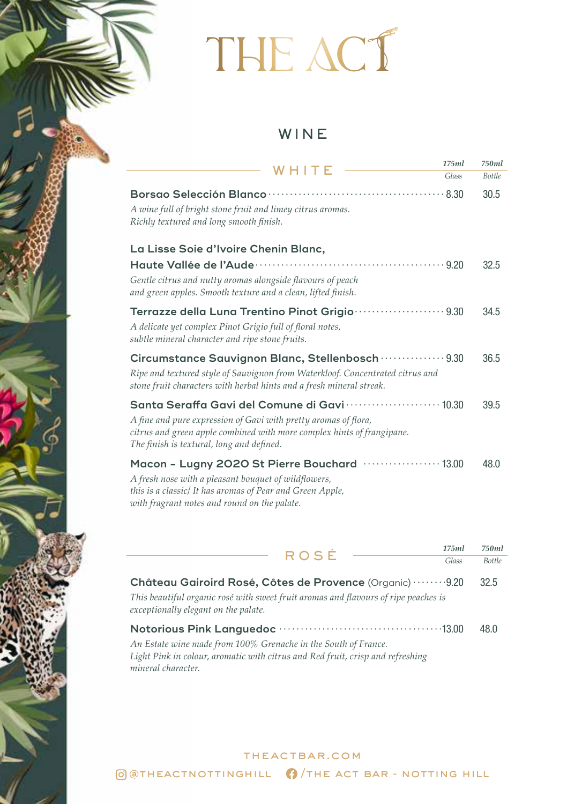## WINE

| W H I T F                                                                                                                                                                                                                                                     | 175ml | 750ml         |
|---------------------------------------------------------------------------------------------------------------------------------------------------------------------------------------------------------------------------------------------------------------|-------|---------------|
|                                                                                                                                                                                                                                                               | Glass | <b>Bottle</b> |
| A wine full of bright stone fruit and limey citrus aromas.<br>Richly textured and long smooth finish.                                                                                                                                                         |       | 30.5          |
| La Lisse Soie d'Ivoire Chenin Blanc,                                                                                                                                                                                                                          |       |               |
| Gentle citrus and nutty aromas alongside flavours of peach<br>and green apples. Smooth texture and a clean, lifted finish.                                                                                                                                    |       | 32.5          |
| Terrazze della Luna Trentino Pinot Grigio ···················· 9.30<br>A delicate yet complex Pinot Grigio full of floral notes,<br>subtle mineral character and ripe stone fruits.                                                                           |       | 34.5          |
| Circumstance Sauvignon Blanc, Stellenbosch  9.30<br>Ripe and textured style of Sauvignon from Waterkloof. Concentrated citrus and<br>stone fruit characters with herbal hints and a fresh mineral streak.                                                     |       | 36.5          |
| Santa Seraffa Gavi del Comune di Gavi ······················· 10.30<br>A fine and pure expression of Gavi with pretty aromas of flora,<br>citrus and green apple combined with more complex hints of frangipane.<br>The finish is textural, long and defined. |       | 39.5          |
| Macon - Lugny 2020 St Pierre Bouchard ··················· 13.00<br>A fresh nose with a pleasant bouquet of wildflowers,<br>this is a classic/ It has aromas of Pear and Green Apple,<br>with fragrant notes and round on the palate.                          |       | 48.0          |

|                                                                                                                                                                                        | ROSÉ | 175ml | 750ml         |
|----------------------------------------------------------------------------------------------------------------------------------------------------------------------------------------|------|-------|---------------|
|                                                                                                                                                                                        |      | Glass | <b>Bottle</b> |
| Château Gairoird Rosé, Côtes de Provence (Organic) 9.20<br>This beautiful organic rosé with sweet fruit aromas and flavours of ripe peaches is<br>exceptionally elegant on the palate. |      |       | 32.5          |
| An Estate wine made from 100% Grenache in the South of France.<br>Light Pink in colour, aromatic with citrus and Red fruit, crisp and refreshing<br>mineral character.                 |      |       | 48.0          |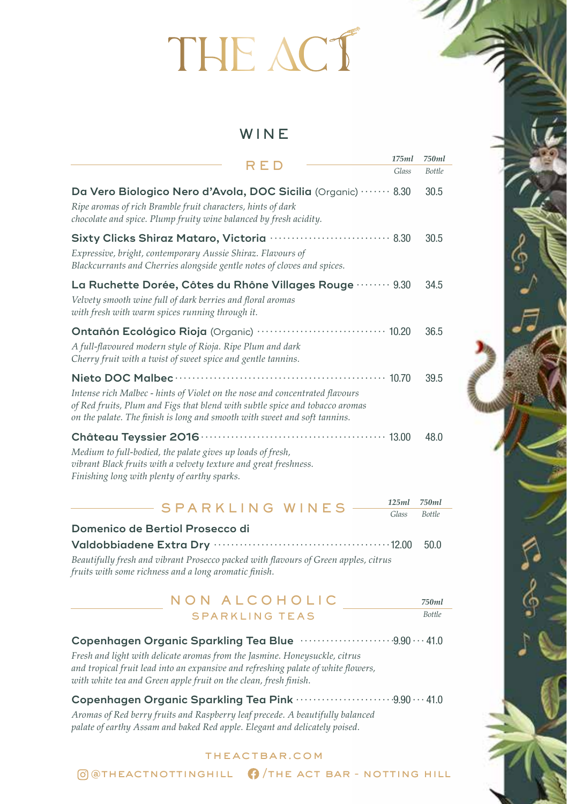### WINE

|                                                                                                                                                                                                                                          | 1/5ml | /50ml  |
|------------------------------------------------------------------------------------------------------------------------------------------------------------------------------------------------------------------------------------------|-------|--------|
| RED                                                                                                                                                                                                                                      | Glass | Bottle |
| Da Vero Biologico Nero d'Avola, DOC Sicilia (Organic)  8.30<br>Ripe aromas of rich Bramble fruit characters, hints of dark<br>chocolate and spice. Plump fruity wine balanced by fresh acidity.                                          |       | 30.5   |
| Sixty Clicks Shiraz Mataro, Victoria  8.30<br>Expressive, bright, contemporary Aussie Shiraz. Flavours of<br>Blackcurrants and Cherries alongside gentle notes of cloves and spices.                                                     |       | 30.5   |
| La Ruchette Dorée, Côtes du Rhône Villages Rouge ……… 9.30<br>Velvety smooth wine full of dark berries and floral aromas<br>with fresh with warm spices running through it.                                                               |       | 34.5   |
| Ontañón Ecológico Rioja (Organic) ······························· 10.20<br>A full-flavoured modern style of Rioja. Ripe Plum and dark<br>Cherry fruit with a twist of sweet spice and gentle tannins.                                    |       | 36.5   |
| Intense rich Malbec - hints of Violet on the nose and concentrated flavours<br>of Red fruits, Plum and Figs that blend with subtle spice and tobacco aromas<br>on the palate. The finish is long and smooth with sweet and soft tannins. |       | 39.5   |
| Medium to full-bodied, the palate gives up loads of fresh,<br>vibrant Black fruits with a velvety texture and great freshness.<br>Finishing long with plenty of earthy sparks.                                                           |       | 48.0   |

#### SPARKLING WINES *750ml Bottle 125ml Glass*

| Domenico de Bertiol Prosecco di                                                     |       |
|-------------------------------------------------------------------------------------|-------|
|                                                                                     | -50.0 |
| Beautifully fresh and vibrant Prosecco packed with flavours of Green apples, citrus |       |
| fruits with some richness and a long aromatic finish.                               |       |

#### NON ALCOHOLIC SPARKLING TEAS *750ml Bottle*

#### **Copenhagen Organic Sparkling Tea Blue** · · · · · · · · · · · · · · · · · · · · · 9.90 · · · 41.0

*Fresh and light with delicate aromas from the Jasmine. Honeysuckle, citrus and tropical fruit lead into an expansive and refreshing palate of white flowers, with white tea and Green apple fruit on the clean, fresh finish.*

#### **Copenhagen Organic Sparkling Tea Pink** · · · · · · · · · · · · · · · · · · · · · · 9.90 · · · 41.0

*Aromas of Red berry fruits and Raspberry leaf precede. A beautifully balanced palate of earthy Assam and baked Red apple. Elegant and delicately poised.*

#### theactbar.com

 $\bigcirc$   $\bigcirc$   $\bigcirc$   $\bigcirc$   $\bigcirc$   $\bigcirc$   $\bigcirc$   $\bigcirc$   $\bigcirc$   $\bigcirc$   $\bigcirc$   $\bigcirc$   $\bigcirc$   $\bigcirc$   $\bigcirc$   $\bigcirc$   $\bigcirc$   $\bigcirc$   $\bigcirc$   $\bigcirc$   $\bigcirc$   $\bigcirc$   $\bigcirc$   $\bigcirc$   $\bigcirc$   $\bigcirc$   $\bigcirc$   $\bigcirc$   $\bigcirc$   $\bigcirc$   $\bigcirc$   $\bigcirc$   $\bigcirc$   $\bigcirc$   $\bigcirc$   $\bigcirc$   $\bigcirc$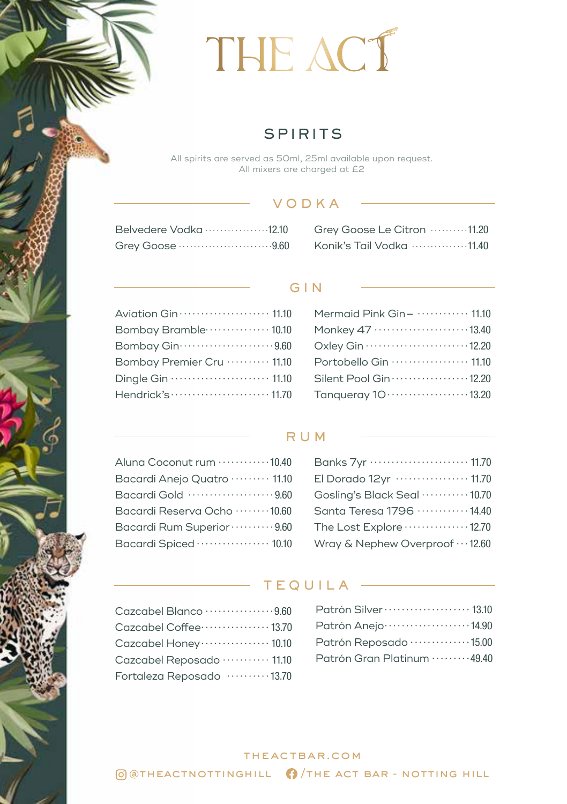## **SPIRITS**

All spirits are served as 50ml, 25ml available upon request. All mixers are charged at £2

#### VODKA

| Belvedere Vodka 12.10 |  |
|-----------------------|--|
| Grey Goose 9.60       |  |

#### Grey Goose Le Citron · · · · · · · · · 11.20 Konik's Tail Vodka · · · · · · · · · · · · · · 11.40

#### GIN

| Aviation Gin ····················· 11.10 |
|------------------------------------------|
| Bombay Bramble ·············· 10.10      |
| Bombay Gin ·························9.60 |
| Bombay Premier Cru  11.10                |
|                                          |
| Hendrick's  11.70                        |

| Mermaid Pink Gin - $\cdots$ $\cdots$ 11.10           |
|------------------------------------------------------|
| Monkey 47 13.40                                      |
| Oxley Gin 12.20                                      |
| Portobello Gin  11.10                                |
| Silent Pool Gin  12.20                               |
| Tanqueray 10 · · · · · · · · · · · · · · · · · 13.20 |
|                                                      |

#### RUM

| Aluna Coconut rum  10.40             |
|--------------------------------------|
| Bacardi Anejo Quatro ········· 11.10 |
| Bacardi Gold 9.60                    |
| Bacardi Reserva Ocho ········ 10.60  |
| Bacardi Rum Superior ·········· 9.60 |
| Bacardi Spiced  10.10                |

| Banks 7yr ······················· 11.70 |
|-----------------------------------------|
| El Dorado 12yr ················· 11.70  |
| Gosling's Black Seal  10.70             |
| Santa Teresa 1796  14.40                |
| The Lost Explore  12.70                 |
| Wray & Nephew Overproof  12.60          |

#### TEQUILA

| Cazcabel Blanco ·················9.60  |
|----------------------------------------|
| Cazcabel Coffee ················ 13.70 |
| Cazcabel Honey ················ 10.10  |
| Cazcabel Reposado ··········· 11.10    |
| Fortaleza Reposado ·········· 13.70    |

| Patrón Silver ···················· 13.10 |
|------------------------------------------|
| Patrón Anejo ·····················14.90  |
| Patrón Reposado ··············15.00      |
| Patrón Gran Platinum ·········49.40      |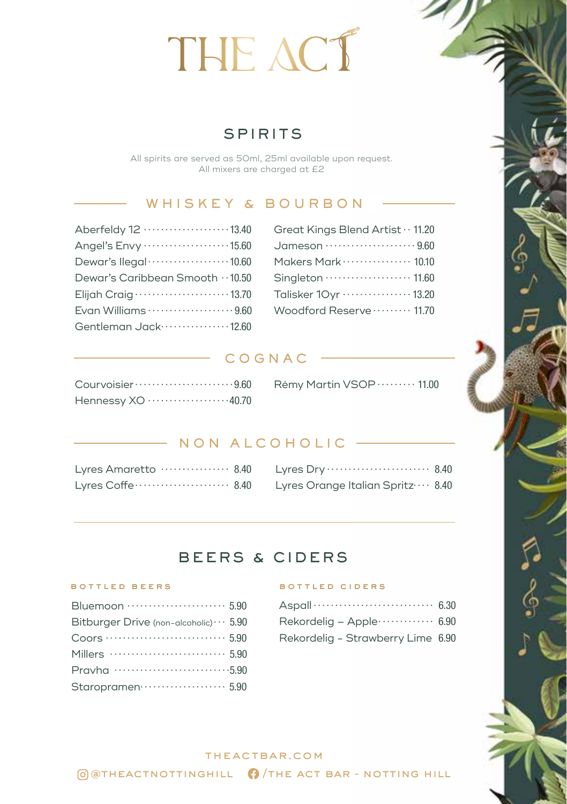## **SPIRITS**

All spirits are served as 50ml, 25ml available upon request. All mixers are charged at £2

### WHISKEY & BOURBON

| Great Kings Blend Artist · · 11.20   |
|--------------------------------------|
| Jameson ······················ 9.60  |
| Makers Mark ··············· 10.10    |
| Singleton  11.60                     |
| Talisker 10yr ················ 13.20 |
| Woodford Reserve  11.70              |

#### COGNAC

| Hennessy XO 40.70 |  |  |  |  |  |  |  |  |
|-------------------|--|--|--|--|--|--|--|--|

| Rémy Martin VSOP · · · · · · · · 11.00 |  |
|----------------------------------------|--|
|                                        |  |

### NON ALCOHOLIC

| Lyres Amaretto  8.40 |  |
|----------------------|--|
|                      |  |

| Lyres Orange Italian Spritz ··· 8.40 |  |  |  |  |  |
|--------------------------------------|--|--|--|--|--|

## BEERS & CIDERS

| Bluemoon  5.90                                |
|-----------------------------------------------|
| Bitburger Drive (non-alcoholic) $\cdots$ 5.90 |
|                                               |
|                                               |
| Pravha 5,90                                   |
| Staropramen 5.90                              |
|                                               |

#### bottled beers bottled ciders

| Rekordelig – Apple $\cdots$ 6.90  |  |
|-----------------------------------|--|
| Rekordelig - Strawberry Lime 6.90 |  |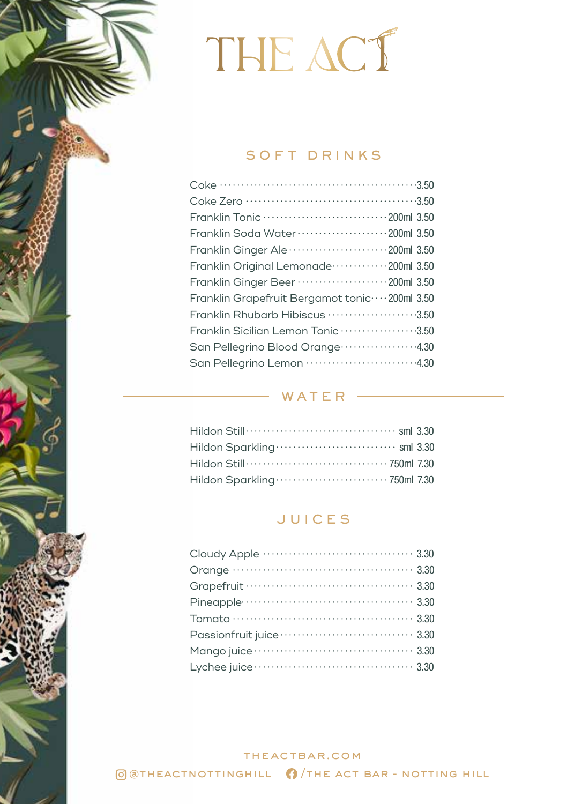### $-$  SOFT DRINKS  $-$

| Franklin Tonic ································200ml 3.50 |
|-----------------------------------------------------------|
| Franklin Soda Water ·····················200ml 3.50       |
| Franklin Ginger Ale ······················200ml 3.50      |
| Franklin Original Lemonade  200ml 3.50                    |
| Franklin Ginger Beer ····················200ml 3.50       |
| Franklin Grapefruit Bergamot tonic ···· 200ml 3.50        |
| Franklin Rhubarb Hibiscus ······················3.50      |
| Franklin Sicilian Lemon Tonic ···················3.50     |
| San Pellegrino Blood Orange 4.30                          |
| San Pellegrino Lemon ·························4.30        |
|                                                           |

### WATER —

| Hildon Still………………………………… sml 3.30 |  |
|------------------------------------|--|
|                                    |  |
|                                    |  |
|                                    |  |

## $\overline{\phantom{a}}$  JUICES  $\overline{\phantom{a}}$

| Passionfruit juice ································· 3.30 |  |
|-----------------------------------------------------------|--|
|                                                           |  |
|                                                           |  |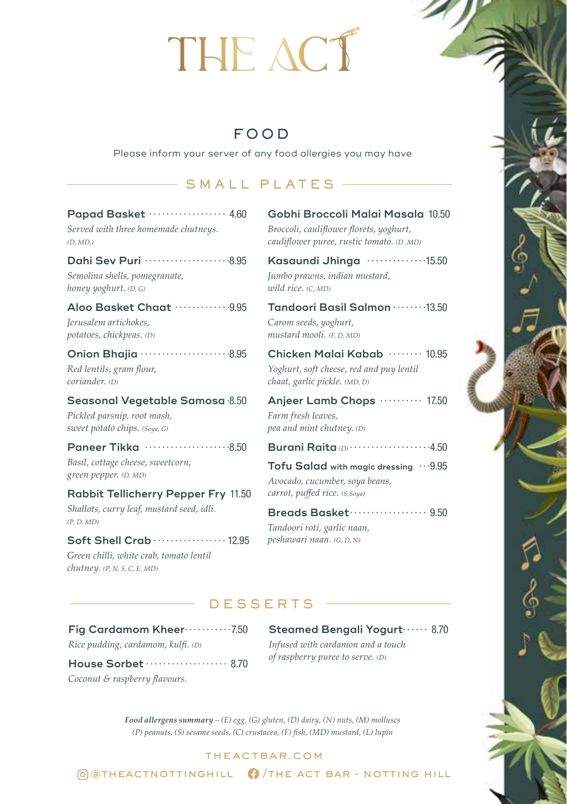## FOOD

Please inform your server of any food allergies you may have

### SMALL PLATES -

### **Papad Basket** · · · · · · · · · · · · · · · · · · 4.60

*Served with three homemade chutneys. (D, MD,)*

#### **Dahi Sev Puri** · · · · · · · · · · · · · · · · · · · 8.95

*Semolina shells, pomegranate, honey yoghurt. (D, G)*

#### **Aloo Basket Chaat** · · · · · · · · · · · · 9.95

*Jerusalem artichokes, potatoes, chickpeas. (D)*

#### **Onion Bhajia** · · · · · · · · · · · · · · · · · · · · 8.95

*Red lentils, gram flour, coriander. (D)*

#### **Seasonal Vegetable Samosa**· 8.50 *Pickled parsnip, root mash,*

*sweet potato chips. (Soya, G)*

**Paneer Tikka**  $\cdots$  · · · · · · · · · · · · · · · · 8.50 *Basil, cottage cheese, sweetcorn, green pepper. (D, MD)*

#### **Rabbit Tellicherry Pepper Fry** 11.50

*Shallots, curry leaf, mustard seed, idli. (P, D, MD)*

#### **Soft Shell Crab** · · · · · · · · · · · · · · · · · 12.95

*Green chilli, white crab, tomato lentil chutney. (P, N, S, C, E, MD)*

#### **Gobhi Broccoli Malai Masala** 10.50

*Broccoli, cauliflower florets, yoghurt, cauliflower puree, rustic tomato. (D ,MD)*

**Kasaundi Jhinga** · · · · · · · · · · · · · 15.50

*Jumbo prawns, indian mustard, wild rice. (C, MD)*

#### **Tandoori Basil Salmon** · · · · · · · 13.50 *Carom seeds, yoghurt,*

*mustard mooli. (F, D, MD)*

#### Chicken Malai Kabab ········ 10.95

*Yoghurt, soft cheese, red and puy lentil chaat, garlic pickle. (MD, D)*

#### Anjeer Lamb Chops ·········· 17.50 *Farm fresh leaves, pea and mint chutney. (D)*

#### **Burani Raita** *(D)* · · · · · · · · · · · · · · · · · · 4.50

Tofu Salad with magic dressing  $\cdot \cdot \cdot 9.95$ *Avocado, cucumber, soya beans, carrot, puffed rice. (S,Soya)*

#### **Breads Basket** · · · · · · · · · · · · · · · · · · 9.50

*Tandoori roti, garlic naan, peshawari naan. (G, D, N)*

#### DESSERTS

**Fig Cardamom Kheer** · · · · · · · · · · 7.50 *Rice pudding, cardamom, kulfi. (D)* **House Sorbet** · · · · · · · · · · · · · · · · · · · 8.70

*Coconut & raspberry flavours.* 

#### **Steamed Bengali Yogurt**······ 8.70

*Infused with cardamon and a touch of raspberry puree to serve. (D)*

*Food allergens summary – (E) egg, (G) gluten, (D) dairy, (N) nuts, (M) molluscs (P) peanuts, (S) sesame seeds, (C) crustacea, (F) fish, (MD) mustard, (L) lupin*

#### theactbar.com

 $\overline{\omega}$   $\overline{\omega}$  atheactnottinghill  $\Omega$  /the act bar - notting hill